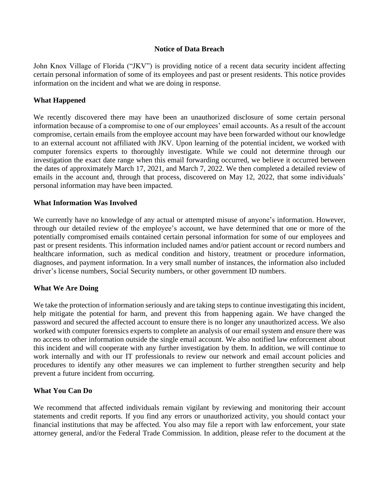#### **Notice of Data Breach**

John Knox Village of Florida ("JKV") is providing notice of a recent data security incident affecting certain personal information of some of its employees and past or present residents. This notice provides information on the incident and what we are doing in response.

#### **What Happened**

We recently discovered there may have been an unauthorized disclosure of some certain personal information because of a compromise to one of our employees' email accounts. As a result of the account compromise, certain emails from the employee account may have been forwarded without our knowledge to an external account not affiliated with JKV. Upon learning of the potential incident, we worked with computer forensics experts to thoroughly investigate. While we could not determine through our investigation the exact date range when this email forwarding occurred, we believe it occurred between the dates of approximately March 17, 2021, and March 7, 2022. We then completed a detailed review of emails in the account and, through that process, discovered on May 12, 2022, that some individuals' personal information may have been impacted.

#### **What Information Was Involved**

We currently have no knowledge of any actual or attempted misuse of anyone's information. However, through our detailed review of the employee's account, we have determined that one or more of the potentially compromised emails contained certain personal information for some of our employees and past or present residents. This information included names and/or patient account or record numbers and healthcare information, such as medical condition and history, treatment or procedure information, diagnoses, and payment information. In a very small number of instances, the information also included driver's license numbers, Social Security numbers, or other government ID numbers.

#### **What We Are Doing**

We take the protection of information seriously and are taking steps to continue investigating this incident, help mitigate the potential for harm, and prevent this from happening again. We have changed the password and secured the affected account to ensure there is no longer any unauthorized access. We also worked with computer forensics experts to complete an analysis of our email system and ensure there was no access to other information outside the single email account. We also notified law enforcement about this incident and will cooperate with any further investigation by them. In addition, we will continue to work internally and with our IT professionals to review our network and email account policies and procedures to identify any other measures we can implement to further strengthen security and help prevent a future incident from occurring.

#### **What You Can Do**

We recommend that affected individuals remain vigilant by reviewing and monitoring their account statements and credit reports. If you find any errors or unauthorized activity, you should contact your financial institutions that may be affected. You also may file a report with law enforcement, your state attorney general, and/or the Federal Trade Commission. In addition, please refer to the document at the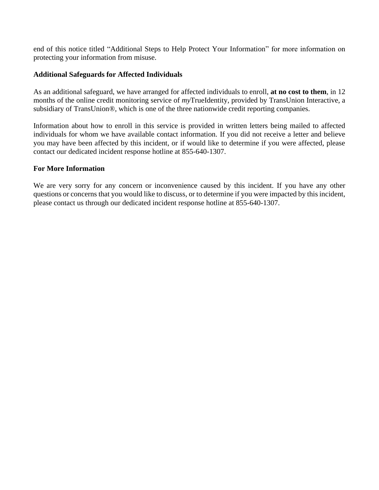end of this notice titled "Additional Steps to Help Protect Your Information" for more information on protecting your information from misuse.

## **Additional Safeguards for Affected Individuals**

As an additional safeguard, we have arranged for affected individuals to enroll, **at no cost to them**, in 12 months of the online credit monitoring service of *my*TrueIdentity, provided by TransUnion Interactive, a subsidiary of TransUnion®, which is one of the three nationwide credit reporting companies.

Information about how to enroll in this service is provided in written letters being mailed to affected individuals for whom we have available contact information. If you did not receive a letter and believe you may have been affected by this incident, or if would like to determine if you were affected, please contact our dedicated incident response hotline at 855-640-1307.

# **For More Information**

We are very sorry for any concern or inconvenience caused by this incident. If you have any other questions or concerns that you would like to discuss, or to determine if you were impacted by this incident, please contact us through our dedicated incident response hotline at 855-640-1307.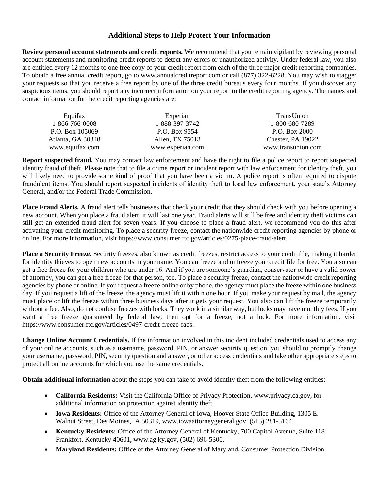# **Additional Steps to Help Protect Your Information**

**Review personal account statements and credit reports.** We recommend that you remain vigilant by reviewing personal account statements and monitoring credit reports to detect any errors or unauthorized activity. Under federal law, you also are entitled every 12 months to one free copy of your credit report from each of the three major credit reporting companies. To obtain a free annual credit report, go to www.annualcreditreport.com or call (877) 322-8228. You may wish to stagger your requests so that you receive a free report by one of the three credit bureaus every four months. If you discover any suspicious items, you should report any incorrect information on your report to the credit reporting agency. The names and contact information for the credit reporting agencies are:

| Equifax           | Experian         | TransUnion         |
|-------------------|------------------|--------------------|
| 1-866-766-0008    | 1-888-397-3742   | 1-800-680-7289     |
| P.O. Box 105069   | P.O. Box 9554    | P.O. Box 2000      |
| Atlanta, GA 30348 | Allen, TX 75013  | Chester, PA 19022  |
| www.equifax.com   | www.experian.com | www.transunion.com |

**Report suspected fraud.** You may contact law enforcement and have the right to file a police report to report suspected identity fraud of theft. Please note that to file a crime report or incident report with law enforcement for identity theft, you will likely need to provide some kind of proof that you have been a victim. A police report is often required to dispute fraudulent items. You should report suspected incidents of identity theft to local law enforcement, your state's Attorney General, and/or the Federal Trade Commission.

**Place Fraud Alerts.** A fraud alert tells businesses that check your credit that they should check with you before opening a new account. When you place a fraud alert, it will last one year. Fraud alerts will still be free and identity theft victims can still get an extended fraud alert for seven years. If you choose to place a fraud alert, we recommend you do this after activating your credit monitoring. To place a security freeze, contact the nationwide credit reporting agencies by phone or online. For more information, visit https://www.consumer.ftc.gov/articles/0275-place-fraud-alert.

**Place a Security Freeze.** Security freezes, also known as credit freezes, restrict access to your credit file, making it harder for identity thieves to open new accounts in your name. You can freeze and unfreeze your credit file for free. You also can get a free freeze for your children who are under 16. And if you are someone's guardian, conservator or have a valid power of attorney, you can get a free freeze for that person, too. To place a security freeze, contact the nationwide credit reporting agencies by phone or online. If you request a freeze online or by phone, the agency must place the freeze within one business day. If you request a lift of the freeze, the agency must lift it within one hour. If you make your request by mail, the agency must place or lift the freeze within three business days after it gets your request. You also can lift the freeze temporarily without a fee. Also, do not confuse freezes with locks. They work in a similar way, but locks may have monthly fees. If you want a free freeze guaranteed by federal law, then opt for a freeze, not a lock. For more information, visit https://www.consumer.ftc.gov/articles/0497-credit-freeze-faqs.

**Change Online Account Credentials.** If the information involved in this incident included credentials used to access any of your online accounts, such as a username, password, PIN, or answer security question, you should to promptly change your username, password, PIN, security question and answer, or other access credentials and take other appropriate steps to protect all online accounts for which you use the same credentials.

**Obtain additional information** about the steps you can take to avoid identity theft from the following entities:

- **California Residents:** Visit the California Office of Privacy Protection, www.privacy.ca.gov, for additional information on protection against identity theft.
- **Iowa Residents:** Office of the Attorney General of Iowa, Hoover State Office Building, 1305 E. Walnut Street, Des Moines, IA 50319, www.iowaattorneygeneral.gov, (515) 281-5164.
- **Kentucky Residents:** Office of the Attorney General of Kentucky, 700 Capitol Avenue, Suite 118 Frankfort, Kentucky 40601**,** www.ag.ky.gov, (502) 696-5300.
- **Maryland Residents:** Office of the Attorney General of Maryland**,** Consumer Protection Division